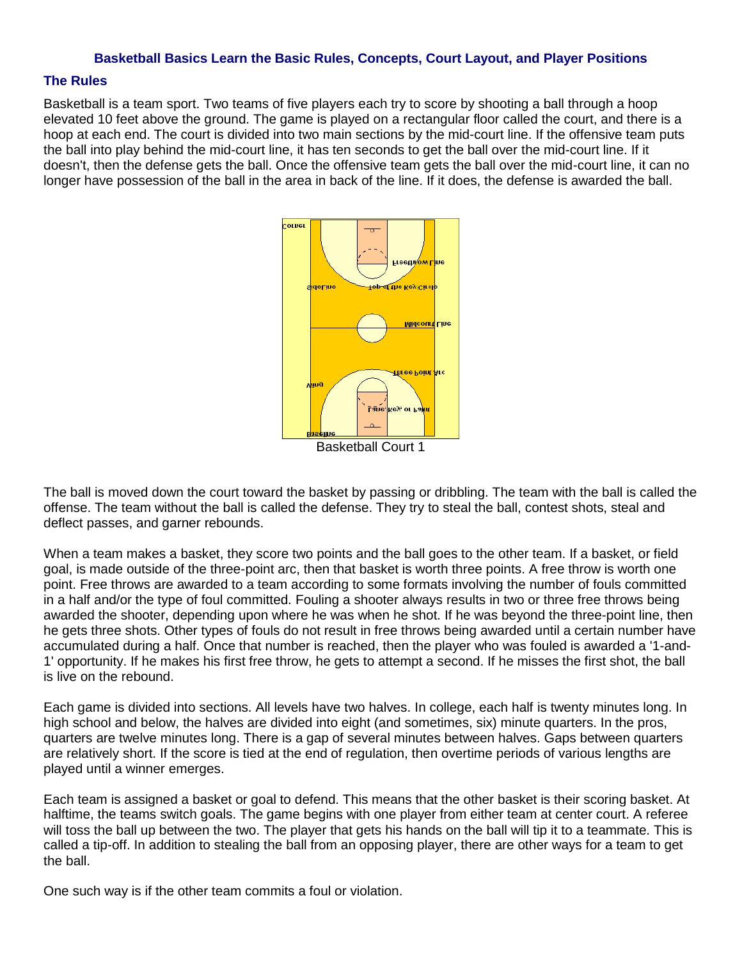#### **Basketball Basics Learn the Basic Rules, Concepts, Court Layout, and Player Positions**

### **The Rules**

Basketball is a team sport. Two teams of five players each try to score by shooting a ball through a hoop elevated 10 feet above the ground. The game is played on a rectangular floor called the court, and there is a hoop at each end. The court is divided into two main sections by the mid-court line. If the offensive team puts the ball into play behind the mid-court line, it has ten seconds to get the ball over the mid-court line. If it doesn't, then the defense gets the ball. Once the offensive team gets the ball over the mid-court line, it can no longer have possession of the ball in the area in back of the line. If it does, the defense is awarded the ball.



The ball is moved down the court toward the basket by passing or dribbling. The team with the ball is called the offense. The team without the ball is called the defense. They try to steal the ball, contest shots, steal and deflect passes, and garner rebounds.

When a team makes a basket, they score two points and the ball goes to the other team. If a basket, or field goal, is made outside of the three-point arc, then that basket is worth three points. A free throw is worth one point. Free throws are awarded to a team according to some formats involving the number of fouls committed in a half and/or the type of foul committed. Fouling a shooter always results in two or three free throws being awarded the shooter, depending upon where he was when he shot. If he was beyond the three-point line, then he gets three shots. Other types of fouls do not result in free throws being awarded until a certain number have accumulated during a half. Once that number is reached, then the player who was fouled is awarded a '1-and-1' opportunity. If he makes his first free throw, he gets to attempt a second. If he misses the first shot, the ball is live on the rebound.

Each game is divided into sections. All levels have two halves. In college, each half is twenty minutes long. In high school and below, the halves are divided into eight (and sometimes, six) minute quarters. In the pros, quarters are twelve minutes long. There is a gap of several minutes between halves. Gaps between quarters are relatively short. If the score is tied at the end of regulation, then overtime periods of various lengths are played until a winner emerges.

Each team is assigned a basket or goal to defend. This means that the other basket is their scoring basket. At halftime, the teams switch goals. The game begins with one player from either team at center court. A referee will toss the ball up between the two. The player that gets his hands on the ball will tip it to a teammate. This is called a tip-off. In addition to stealing the ball from an opposing player, there are other ways for a team to get the ball.

One such way is if the other team commits a foul or violation.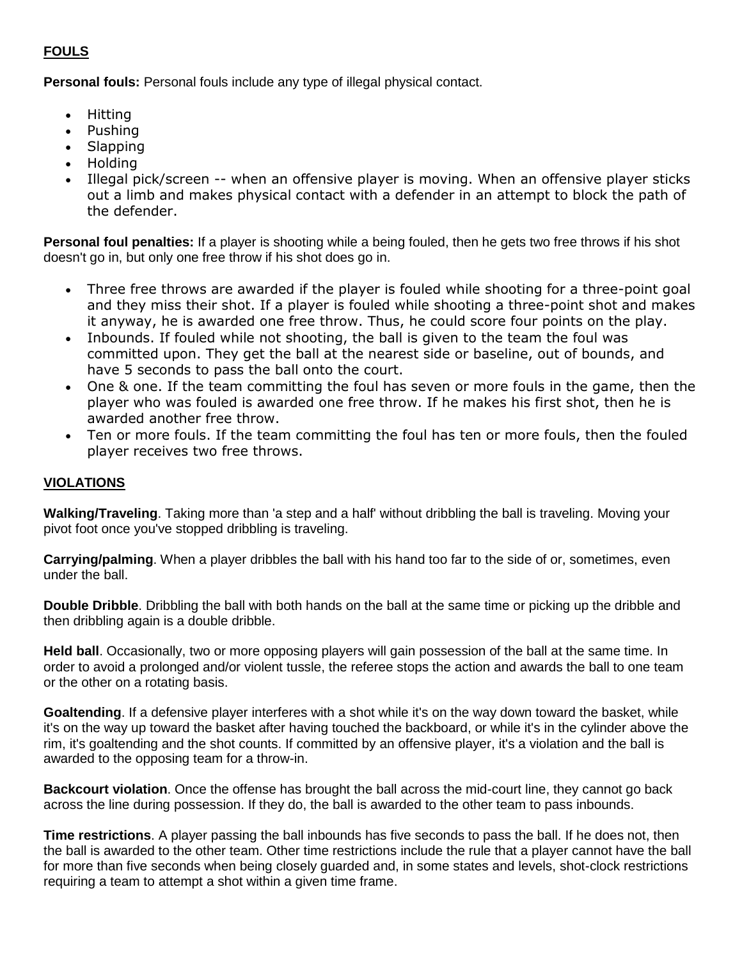# **FOULS**

**Personal fouls:** Personal fouls include any type of illegal physical contact.

- Hitting
- Pushing
- Slapping
- Holding
- Illegal pick/screen -- when an offensive player is moving. When an offensive player sticks out a limb and makes physical contact with a defender in an attempt to block the path of the defender.

**Personal foul penalties:** If a player is shooting while a being fouled, then he gets two free throws if his shot doesn't go in, but only one free throw if his shot does go in.

- Three free throws are awarded if the player is fouled while shooting for a three-point goal and they miss their shot. If a player is fouled while shooting a three-point shot and makes it anyway, he is awarded one free throw. Thus, he could score four points on the play.
- Inbounds. If fouled while not shooting, the ball is given to the team the foul was committed upon. They get the ball at the nearest side or baseline, out of bounds, and have 5 seconds to pass the ball onto the court.
- One & one. If the team committing the foul has seven or more fouls in the game, then the player who was fouled is awarded one free throw. If he makes his first shot, then he is awarded another free throw.
- Ten or more fouls. If the team committing the foul has ten or more fouls, then the fouled player receives two free throws.

## **VIOLATIONS**

**Walking/Traveling**. Taking more than 'a step and a half' without dribbling the ball is traveling. Moving your pivot foot once you've stopped dribbling is traveling.

**Carrying/palming**. When a player dribbles the ball with his hand too far to the side of or, sometimes, even under the ball.

**Double Dribble**. Dribbling the ball with both hands on the ball at the same time or picking up the dribble and then dribbling again is a double dribble.

**Held ball**. Occasionally, two or more opposing players will gain possession of the ball at the same time. In order to avoid a prolonged and/or violent tussle, the referee stops the action and awards the ball to one team or the other on a rotating basis.

**Goaltending**. If a defensive player interferes with a shot while it's on the way down toward the basket, while it's on the way up toward the basket after having touched the backboard, or while it's in the cylinder above the rim, it's goaltending and the shot counts. If committed by an offensive player, it's a violation and the ball is awarded to the opposing team for a throw-in.

**Backcourt violation**. Once the offense has brought the ball across the mid-court line, they cannot go back across the line during possession. If they do, the ball is awarded to the other team to pass inbounds.

**Time restrictions**. A player passing the ball inbounds has five seconds to pass the ball. If he does not, then the ball is awarded to the other team. Other time restrictions include the rule that a player cannot have the ball for more than five seconds when being closely guarded and, in some states and levels, shot-clock restrictions requiring a team to attempt a shot within a given time frame.